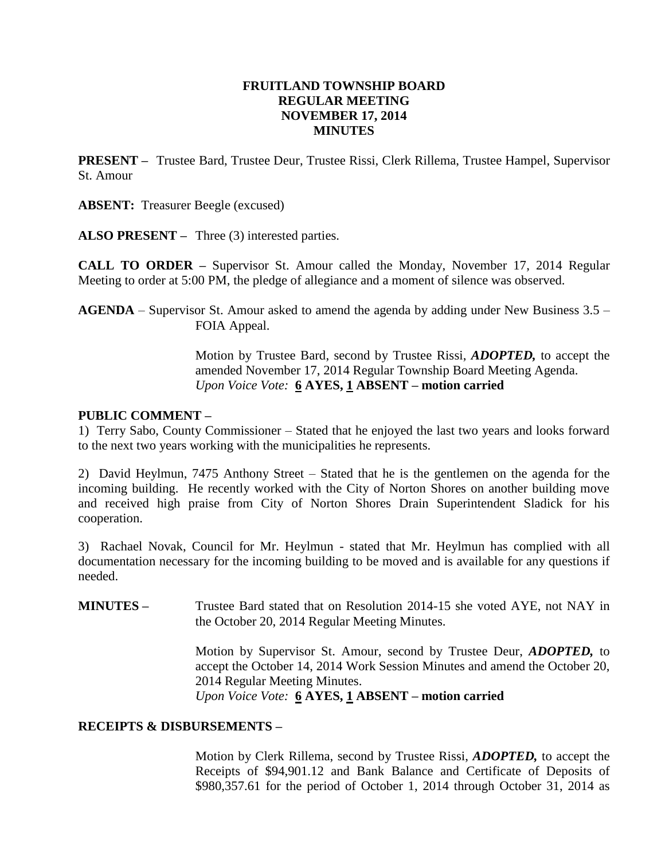### **FRUITLAND TOWNSHIP BOARD REGULAR MEETING NOVEMBER 17, 2014 MINUTES**

**PRESENT –** Trustee Bard, Trustee Deur, Trustee Rissi, Clerk Rillema, Trustee Hampel, Supervisor St. Amour

**ABSENT:** Treasurer Beegle (excused)

**ALSO PRESENT –** Three (3) interested parties.

**CALL TO ORDER –** Supervisor St. Amour called the Monday, November 17, 2014 Regular Meeting to order at 5:00 PM, the pledge of allegiance and a moment of silence was observed.

**AGENDA** – Supervisor St. Amour asked to amend the agenda by adding under New Business 3.5 – FOIA Appeal.

> Motion by Trustee Bard, second by Trustee Rissi, *ADOPTED,* to accept the amended November 17, 2014 Regular Township Board Meeting Agenda. *Upon Voice Vote:* **6 AYES, 1 ABSENT – motion carried**

#### **PUBLIC COMMENT –**

1) Terry Sabo, County Commissioner – Stated that he enjoyed the last two years and looks forward to the next two years working with the municipalities he represents.

2) David Heylmun, 7475 Anthony Street – Stated that he is the gentlemen on the agenda for the incoming building. He recently worked with the City of Norton Shores on another building move and received high praise from City of Norton Shores Drain Superintendent Sladick for his cooperation.

3) Rachael Novak, Council for Mr. Heylmun - stated that Mr. Heylmun has complied with all documentation necessary for the incoming building to be moved and is available for any questions if needed.

**MINUTES –** Trustee Bard stated that on Resolution 2014-15 she voted AYE, not NAY in the October 20, 2014 Regular Meeting Minutes.

> Motion by Supervisor St. Amour, second by Trustee Deur, *ADOPTED,* to accept the October 14, 2014 Work Session Minutes and amend the October 20, 2014 Regular Meeting Minutes. *Upon Voice Vote:* **6 AYES, 1 ABSENT – motion carried**

## **RECEIPTS & DISBURSEMENTS –**

Motion by Clerk Rillema, second by Trustee Rissi, *ADOPTED,* to accept the Receipts of \$94,901.12 and Bank Balance and Certificate of Deposits of \$980,357.61 for the period of October 1, 2014 through October 31, 2014 as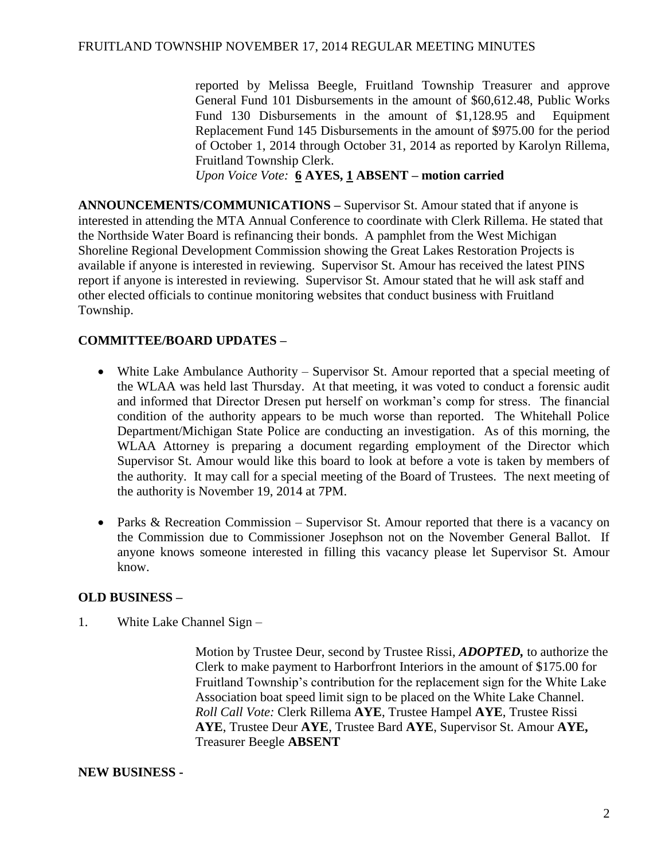reported by Melissa Beegle, Fruitland Township Treasurer and approve General Fund 101 Disbursements in the amount of \$60,612.48, Public Works Fund 130 Disbursements in the amount of \$1,128.95 and Equipment Replacement Fund 145 Disbursements in the amount of \$975.00 for the period of October 1, 2014 through October 31, 2014 as reported by Karolyn Rillema, Fruitland Township Clerk.

*Upon Voice Vote:* **6 AYES, 1 ABSENT – motion carried**

**ANNOUNCEMENTS/COMMUNICATIONS –** Supervisor St. Amour stated that if anyone is interested in attending the MTA Annual Conference to coordinate with Clerk Rillema. He stated that the Northside Water Board is refinancing their bonds. A pamphlet from the West Michigan Shoreline Regional Development Commission showing the Great Lakes Restoration Projects is available if anyone is interested in reviewing. Supervisor St. Amour has received the latest PINS report if anyone is interested in reviewing. Supervisor St. Amour stated that he will ask staff and other elected officials to continue monitoring websites that conduct business with Fruitland Township.

# **COMMITTEE/BOARD UPDATES –**

- White Lake Ambulance Authority Supervisor St. Amour reported that a special meeting of the WLAA was held last Thursday. At that meeting, it was voted to conduct a forensic audit and informed that Director Dresen put herself on workman's comp for stress. The financial condition of the authority appears to be much worse than reported. The Whitehall Police Department/Michigan State Police are conducting an investigation. As of this morning, the WLAA Attorney is preparing a document regarding employment of the Director which Supervisor St. Amour would like this board to look at before a vote is taken by members of the authority. It may call for a special meeting of the Board of Trustees. The next meeting of the authority is November 19, 2014 at 7PM.
- Parks & Recreation Commission Supervisor St. Amour reported that there is a vacancy on the Commission due to Commissioner Josephson not on the November General Ballot. If anyone knows someone interested in filling this vacancy please let Supervisor St. Amour know.

## **OLD BUSINESS –**

1. White Lake Channel Sign –

Motion by Trustee Deur, second by Trustee Rissi, *ADOPTED,* to authorize the Clerk to make payment to Harborfront Interiors in the amount of \$175.00 for Fruitland Township's contribution for the replacement sign for the White Lake Association boat speed limit sign to be placed on the White Lake Channel. *Roll Call Vote:* Clerk Rillema **AYE**, Trustee Hampel **AYE**, Trustee Rissi **AYE**, Trustee Deur **AYE**, Trustee Bard **AYE**, Supervisor St. Amour **AYE,**  Treasurer Beegle **ABSENT**

#### **NEW BUSINESS -**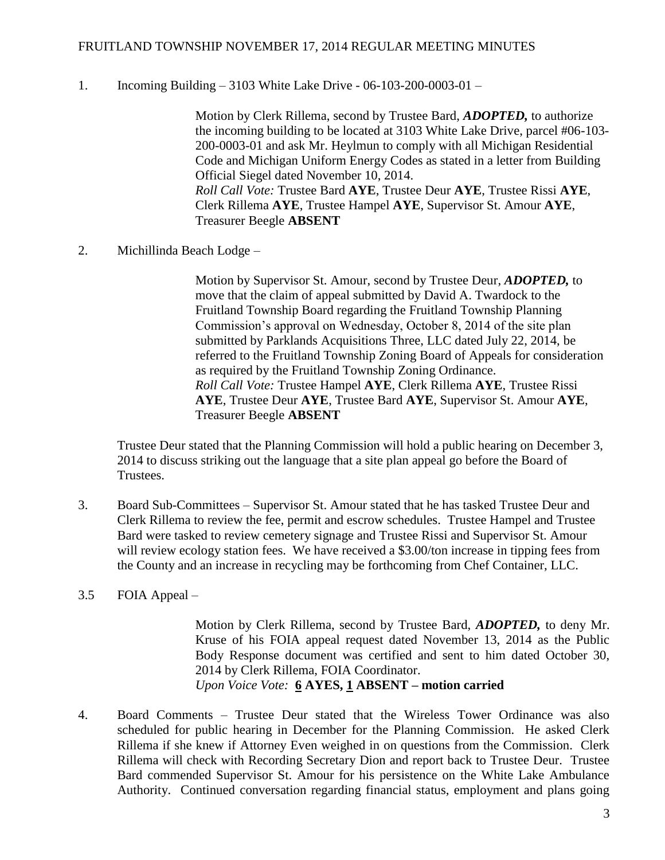#### FRUITLAND TOWNSHIP NOVEMBER 17, 2014 REGULAR MEETING MINUTES

1. Incoming Building – 3103 White Lake Drive - 06-103-200-0003-01 –

Motion by Clerk Rillema, second by Trustee Bard, *ADOPTED,* to authorize the incoming building to be located at 3103 White Lake Drive, parcel #06-103- 200-0003-01 and ask Mr. Heylmun to comply with all Michigan Residential Code and Michigan Uniform Energy Codes as stated in a letter from Building Official Siegel dated November 10, 2014. *Roll Call Vote:* Trustee Bard **AYE**, Trustee Deur **AYE**, Trustee Rissi **AYE**, Clerk Rillema **AYE**, Trustee Hampel **AYE**, Supervisor St. Amour **AYE**, Treasurer Beegle **ABSENT**

2. Michillinda Beach Lodge –

Motion by Supervisor St. Amour, second by Trustee Deur, *ADOPTED,* to move that the claim of appeal submitted by David A. Twardock to the Fruitland Township Board regarding the Fruitland Township Planning Commission's approval on Wednesday, October 8, 2014 of the site plan submitted by Parklands Acquisitions Three, LLC dated July 22, 2014, be referred to the Fruitland Township Zoning Board of Appeals for consideration as required by the Fruitland Township Zoning Ordinance. *Roll Call Vote:* Trustee Hampel **AYE**, Clerk Rillema **AYE**, Trustee Rissi **AYE**, Trustee Deur **AYE**, Trustee Bard **AYE**, Supervisor St. Amour **AYE**, Treasurer Beegle **ABSENT**

Trustee Deur stated that the Planning Commission will hold a public hearing on December 3, 2014 to discuss striking out the language that a site plan appeal go before the Board of Trustees.

- 3. Board Sub-Committees Supervisor St. Amour stated that he has tasked Trustee Deur and Clerk Rillema to review the fee, permit and escrow schedules. Trustee Hampel and Trustee Bard were tasked to review cemetery signage and Trustee Rissi and Supervisor St. Amour will review ecology station fees. We have received a \$3.00/ton increase in tipping fees from the County and an increase in recycling may be forthcoming from Chef Container, LLC.
- 3.5 FOIA Appeal –

Motion by Clerk Rillema, second by Trustee Bard, *ADOPTED,* to deny Mr. Kruse of his FOIA appeal request dated November 13, 2014 as the Public Body Response document was certified and sent to him dated October 30, 2014 by Clerk Rillema, FOIA Coordinator. *Upon Voice Vote:* **6 AYES, 1 ABSENT – motion carried**

4. Board Comments – Trustee Deur stated that the Wireless Tower Ordinance was also scheduled for public hearing in December for the Planning Commission. He asked Clerk Rillema if she knew if Attorney Even weighed in on questions from the Commission. Clerk Rillema will check with Recording Secretary Dion and report back to Trustee Deur. Trustee Bard commended Supervisor St. Amour for his persistence on the White Lake Ambulance Authority. Continued conversation regarding financial status, employment and plans going